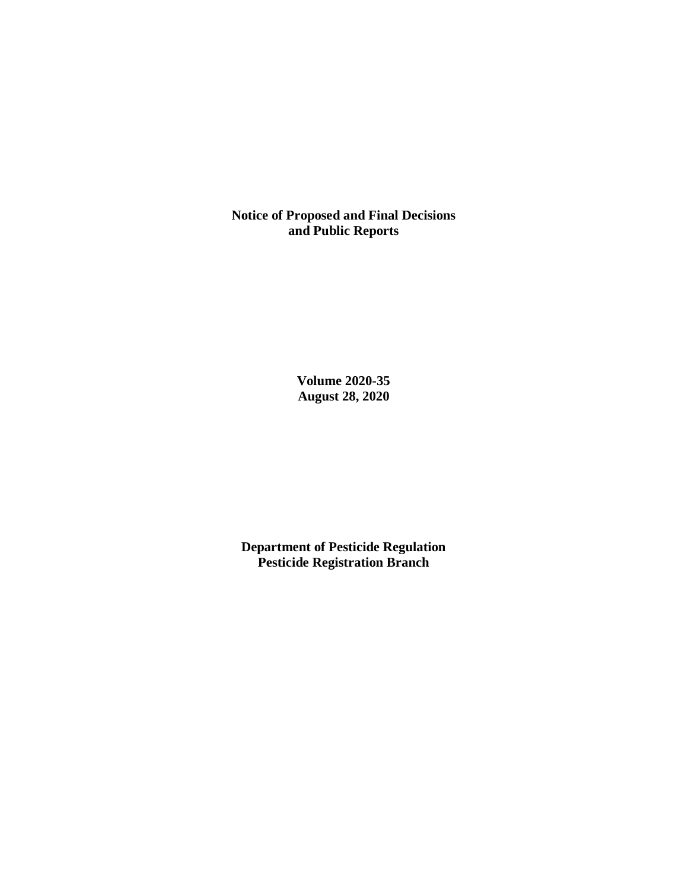**Notice of Proposed and Final Decisions and Public Reports**

> **Volume 2020-35 August 28, 2020**

**Department of Pesticide Regulation Pesticide Registration Branch**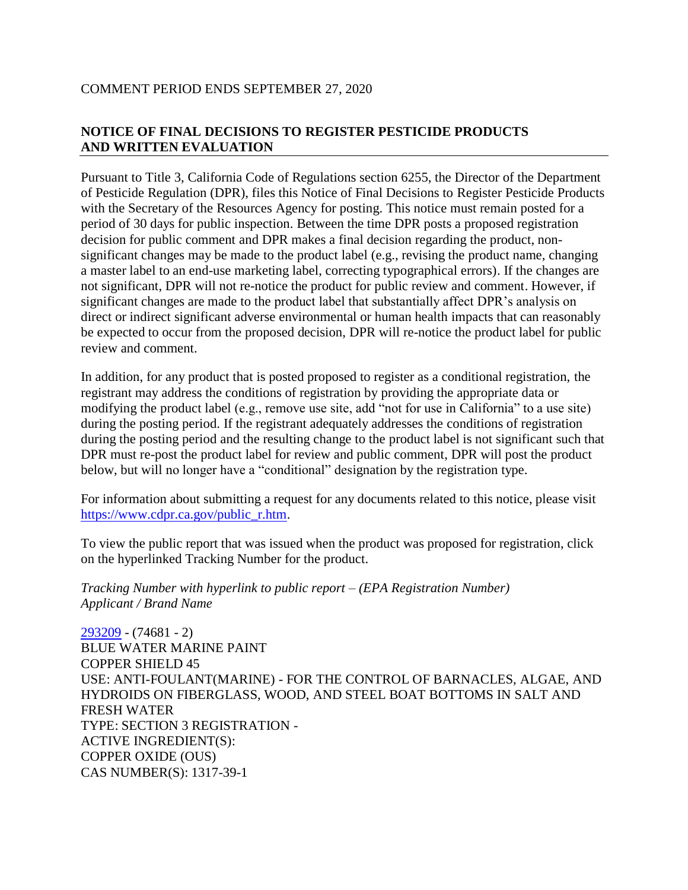### COMMENT PERIOD ENDS SEPTEMBER 27, 2020

# **NOTICE OF FINAL DECISIONS TO REGISTER PESTICIDE PRODUCTS AND WRITTEN EVALUATION**

Pursuant to Title 3, California Code of Regulations section 6255, the Director of the Department of Pesticide Regulation (DPR), files this Notice of Final Decisions to Register Pesticide Products with the Secretary of the Resources Agency for posting. This notice must remain posted for a period of 30 days for public inspection. Between the time DPR posts a proposed registration decision for public comment and DPR makes a final decision regarding the product, nonsignificant changes may be made to the product label (e.g., revising the product name, changing a master label to an end-use marketing label, correcting typographical errors). If the changes are not significant, DPR will not re-notice the product for public review and comment. However, if significant changes are made to the product label that substantially affect DPR's analysis on direct or indirect significant adverse environmental or human health impacts that can reasonably be expected to occur from the proposed decision, DPR will re-notice the product label for public review and comment.

In addition, for any product that is posted proposed to register as a conditional registration, the registrant may address the conditions of registration by providing the appropriate data or modifying the product label (e.g., remove use site, add "not for use in California" to a use site) during the posting period. If the registrant adequately addresses the conditions of registration during the posting period and the resulting change to the product label is not significant such that DPR must re-post the product label for review and public comment, DPR will post the product below, but will no longer have a "conditional" designation by the registration type.

For information about submitting a request for any documents related to this notice, please visit [https://www.cdpr.ca.gov/public\\_r.htm.](https://www.cdpr.ca.gov/public_r.htm)

To view the public report that was issued when the product was proposed for registration, click on the hyperlinked Tracking Number for the product.

*Tracking Number with hyperlink to public report – (EPA Registration Number) Applicant / Brand Name*

[293209](https://www.cdpr.ca.gov/docs/registration/nod/public_reports/293209.pdf) - (74681 - 2) BLUE WATER MARINE PAINT COPPER SHIELD 45 USE: ANTI-FOULANT(MARINE) - FOR THE CONTROL OF BARNACLES, ALGAE, AND HYDROIDS ON FIBERGLASS, WOOD, AND STEEL BOAT BOTTOMS IN SALT AND FRESH WATER TYPE: SECTION 3 REGISTRATION - ACTIVE INGREDIENT(S): COPPER OXIDE (OUS) CAS NUMBER(S): 1317-39-1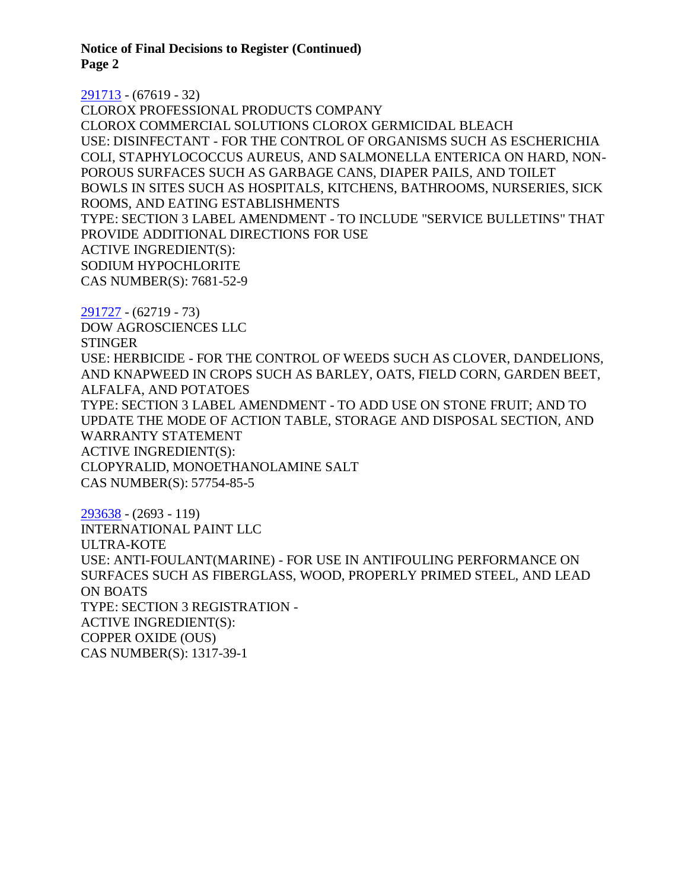**Notice of Final Decisions to Register (Continued) Page 2**

#### [291713](https://www.cdpr.ca.gov/docs/registration/nod/public_reports/291713.pdf) - (67619 - 32)

CLOROX PROFESSIONAL PRODUCTS COMPANY CLOROX COMMERCIAL SOLUTIONS CLOROX GERMICIDAL BLEACH USE: DISINFECTANT - FOR THE CONTROL OF ORGANISMS SUCH AS ESCHERICHIA COLI, STAPHYLOCOCCUS AUREUS, AND SALMONELLA ENTERICA ON HARD, NON-POROUS SURFACES SUCH AS GARBAGE CANS, DIAPER PAILS, AND TOILET BOWLS IN SITES SUCH AS HOSPITALS, KITCHENS, BATHROOMS, NURSERIES, SICK ROOMS, AND EATING ESTABLISHMENTS TYPE: SECTION 3 LABEL AMENDMENT - TO INCLUDE "SERVICE BULLETINS" THAT PROVIDE ADDITIONAL DIRECTIONS FOR USE ACTIVE INGREDIENT(S): SODIUM HYPOCHLORITE CAS NUMBER(S): 7681-52-9

[291727](https://www.cdpr.ca.gov/docs/registration/nod/public_reports/291727.pdf) - (62719 - 73) DOW AGROSCIENCES LLC **STINGER** USE: HERBICIDE - FOR THE CONTROL OF WEEDS SUCH AS CLOVER, DANDELIONS, AND KNAPWEED IN CROPS SUCH AS BARLEY, OATS, FIELD CORN, GARDEN BEET, ALFALFA, AND POTATOES TYPE: SECTION 3 LABEL AMENDMENT - TO ADD USE ON STONE FRUIT; AND TO UPDATE THE MODE OF ACTION TABLE, STORAGE AND DISPOSAL SECTION, AND WARRANTY STATEMENT ACTIVE INGREDIENT(S): CLOPYRALID, MONOETHANOLAMINE SALT CAS NUMBER(S): 57754-85-5

[293638](https://www.cdpr.ca.gov/docs/registration/nod/public_reports/293638.pdf) - (2693 - 119) INTERNATIONAL PAINT LLC ULTRA-KOTE USE: ANTI-FOULANT(MARINE) - FOR USE IN ANTIFOULING PERFORMANCE ON SURFACES SUCH AS FIBERGLASS, WOOD, PROPERLY PRIMED STEEL, AND LEAD ON BOATS TYPE: SECTION 3 REGISTRATION - ACTIVE INGREDIENT(S): COPPER OXIDE (OUS) CAS NUMBER(S): 1317-39-1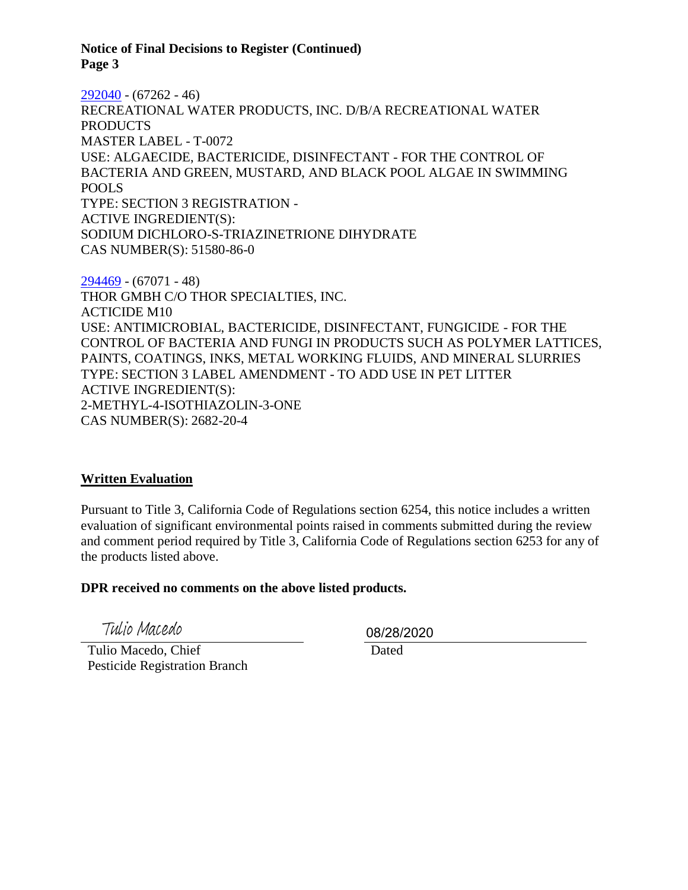**Notice of Final Decisions to Register (Continued) Page 3**

[292040](https://www.cdpr.ca.gov/docs/registration/nod/public_reports/292040.pdf) - (67262 - 46) RECREATIONAL WATER PRODUCTS, INC. D/B/A RECREATIONAL WATER **PRODUCTS** MASTER LABEL - T-0072 USE: ALGAECIDE, BACTERICIDE, DISINFECTANT - FOR THE CONTROL OF BACTERIA AND GREEN, MUSTARD, AND BLACK POOL ALGAE IN SWIMMING POOLS TYPE: SECTION 3 REGISTRATION - ACTIVE INGREDIENT(S): SODIUM DICHLORO-S-TRIAZINETRIONE DIHYDRATE CAS NUMBER(S): 51580-86-0

[294469](https://www.cdpr.ca.gov/docs/registration/nod/public_reports/294469.pdf) - (67071 - 48) THOR GMBH C/O THOR SPECIALTIES, INC. ACTICIDE M10 USE: ANTIMICROBIAL, BACTERICIDE, DISINFECTANT, FUNGICIDE - FOR THE CONTROL OF BACTERIA AND FUNGI IN PRODUCTS SUCH AS POLYMER LATTICES, PAINTS, COATINGS, INKS, METAL WORKING FLUIDS, AND MINERAL SLURRIES TYPE: SECTION 3 LABEL AMENDMENT - TO ADD USE IN PET LITTER ACTIVE INGREDIENT(S): 2-METHYL-4-ISOTHIAZOLIN-3-ONE CAS NUMBER(S): 2682-20-4

## **Written Evaluation**

Pursuant to Title 3, California Code of Regulations section 6254, this notice includes a written evaluation of significant environmental points raised in comments submitted during the review and comment period required by Title 3, California Code of Regulations section 6253 for any of the products listed above.

### **DPR received no comments on the above listed products.**

Tulio Macedo

 Tulio Macedo, Chief Pesticide Registration Branch 08/28/2020

Dated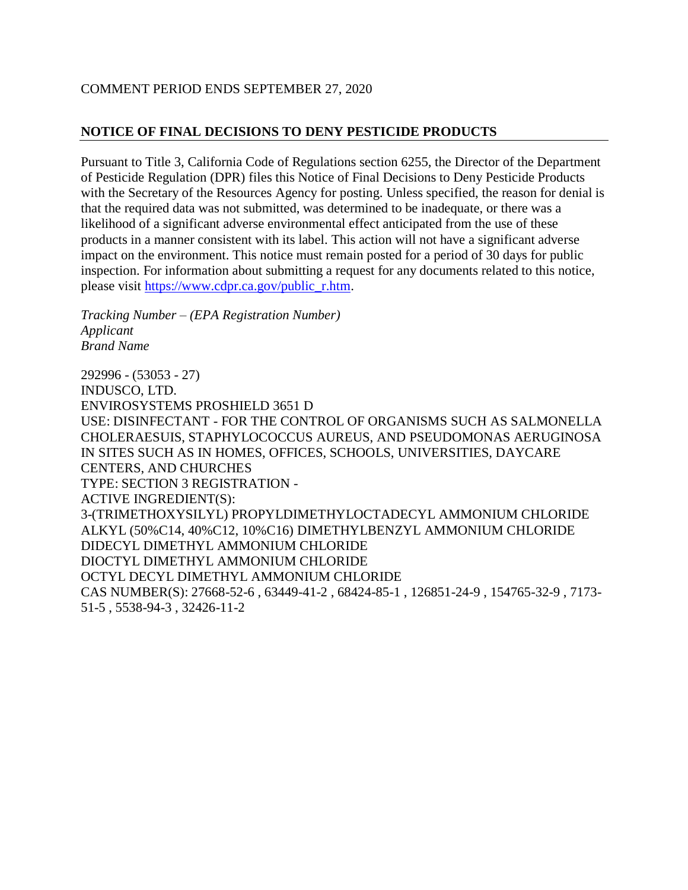## COMMENT PERIOD ENDS SEPTEMBER 27, 2020

# **NOTICE OF FINAL DECISIONS TO DENY PESTICIDE PRODUCTS**

Pursuant to Title 3, California Code of Regulations section 6255, the Director of the Department of Pesticide Regulation (DPR) files this Notice of Final Decisions to Deny Pesticide Products with the Secretary of the Resources Agency for posting. Unless specified, the reason for denial is that the required data was not submitted, was determined to be inadequate, or there was a likelihood of a significant adverse environmental effect anticipated from the use of these products in a manner consistent with its label. This action will not have a significant adverse impact on the environment. This notice must remain posted for a period of 30 days for public inspection. For information about submitting a request for any documents related to this notice, please visit [https://www.cdpr.ca.gov/public\\_r.htm.](https://www.cdpr.ca.gov/public_r.htm)

*Tracking Number – (EPA Registration Number) Applicant Brand Name*

292996 - (53053 - 27) INDUSCO, LTD. ENVIROSYSTEMS PROSHIELD 3651 D USE: DISINFECTANT - FOR THE CONTROL OF ORGANISMS SUCH AS SALMONELLA CHOLERAESUIS, STAPHYLOCOCCUS AUREUS, AND PSEUDOMONAS AERUGINOSA IN SITES SUCH AS IN HOMES, OFFICES, SCHOOLS, UNIVERSITIES, DAYCARE CENTERS, AND CHURCHES TYPE: SECTION 3 REGISTRATION - ACTIVE INGREDIENT(S): 3-(TRIMETHOXYSILYL) PROPYLDIMETHYLOCTADECYL AMMONIUM CHLORIDE ALKYL (50%C14, 40%C12, 10%C16) DIMETHYLBENZYL AMMONIUM CHLORIDE DIDECYL DIMETHYL AMMONIUM CHLORIDE DIOCTYL DIMETHYL AMMONIUM CHLORIDE OCTYL DECYL DIMETHYL AMMONIUM CHLORIDE CAS NUMBER(S): 27668-52-6 , 63449-41-2 , 68424-85-1 , 126851-24-9 , 154765-32-9 , 7173- 51-5 , 5538-94-3 , 32426-11-2